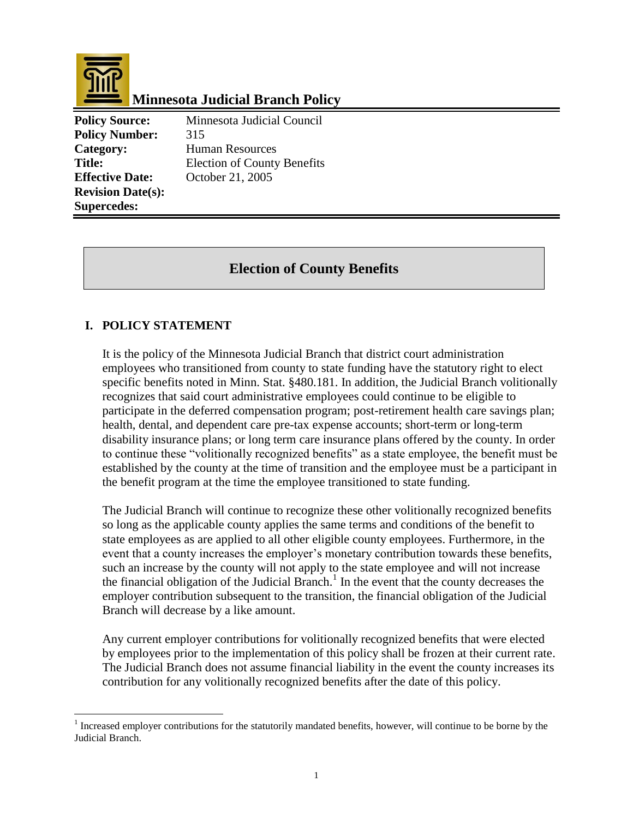

 $\overline{a}$ 

# **Minnesota Judicial Branch Policy**

**Policy Source:** Minnesota Judicial Council **Policy Number:** 315 Category: Human Resources Title: Election of County Benefits **Effective Date:** October 21, 2005 **Revision Date(s): Supercedes:** 

## **Election of County Benefits**

#### **I. POLICY STATEMENT**

It is the policy of the Minnesota Judicial Branch that district court administration employees who transitioned from county to state funding have the statutory right to elect specific benefits noted in Minn. Stat. §480.181. In addition, the Judicial Branch volitionally recognizes that said court administrative employees could continue to be eligible to participate in the deferred compensation program; post-retirement health care savings plan; health, dental, and dependent care pre-tax expense accounts; short-term or long-term disability insurance plans; or long term care insurance plans offered by the county. In order to continue these "volitionally recognized benefits" as a state employee, the benefit must be established by the county at the time of transition and the employee must be a participant in the benefit program at the time the employee transitioned to state funding.

The Judicial Branch will continue to recognize these other volitionally recognized benefits so long as the applicable county applies the same terms and conditions of the benefit to state employees as are applied to all other eligible county employees. Furthermore, in the event that a county increases the employer's monetary contribution towards these benefits, such an increase by the county will not apply to the state employee and will not increase the financial obligation of the Judicial Branch.<sup>1</sup> In the event that the county decreases the employer contribution subsequent to the transition, the financial obligation of the Judicial Branch will decrease by a like amount.

Any current employer contributions for volitionally recognized benefits that were elected by employees prior to the implementation of this policy shall be frozen at their current rate. The Judicial Branch does not assume financial liability in the event the county increases its contribution for any volitionally recognized benefits after the date of this policy.

 $1$  Increased employer contributions for the statutorily mandated benefits, however, will continue to be borne by the Judicial Branch.